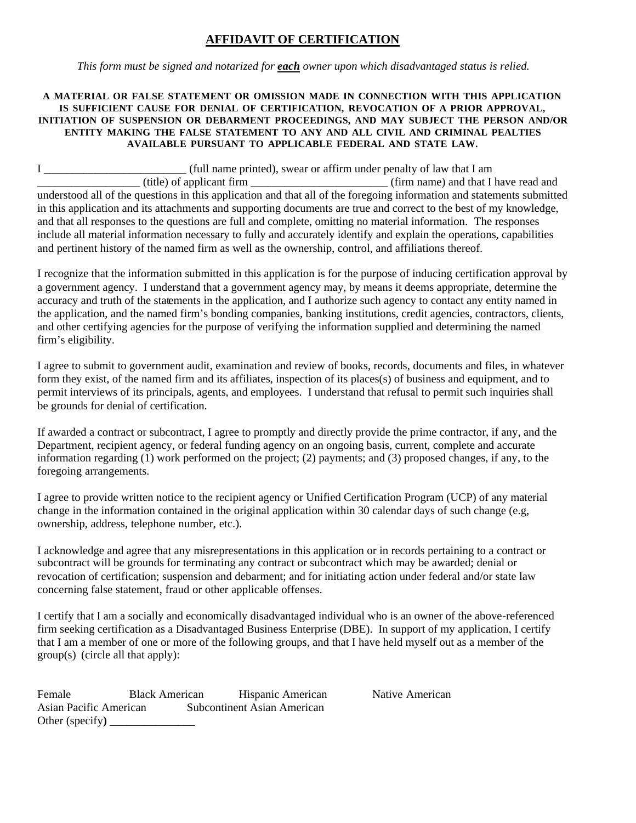## **AFFIDAVIT OF CERTIFICATION**

*This form must be signed and notarized for each owner upon which disadvantaged status is relied.* 

## **A MATERIAL OR FALSE STATEMENT OR OMISSION MADE IN CONNECTION WITH THIS APPLICATION IS SUFFICIENT CAUSE FOR DENIAL OF CERTIFICATION, REVOCATION OF A PRIOR APPROVAL, INITIATION OF SUSPENSION OR DEBARMENT PROCEEDINGS, AND MAY SUBJECT THE PERSON AND/OR ENTITY MAKING THE FALSE STATEMENT TO ANY AND ALL CIVIL AND CRIMINAL PEALTIES AVAILABLE PURSUANT TO APPLICABLE FEDERAL AND STATE LAW.**

| (full name printed), swear or affirm under penalty of law that I am                                                    |                                      |  |
|------------------------------------------------------------------------------------------------------------------------|--------------------------------------|--|
| (title) of applicant firm                                                                                              | (firm name) and that I have read and |  |
| understood all of the questions in this application and that all of the foregoing information and statements submitted |                                      |  |
| in this application and its attachments and supporting documents are true and correct to the best of my knowledge,     |                                      |  |
| and that all responses to the questions are full and complete, omitting no material information. The responses         |                                      |  |
| include all material information necessary to fully and accurately identify and explain the operations, capabilities   |                                      |  |
| and pertinent history of the named firm as well as the ownership, control, and affiliations thereof.                   |                                      |  |

I recognize that the information submitted in this application is for the purpose of inducing certification approval by a government agency. I understand that a government agency may, by means it deems appropriate, determine the accuracy and truth of the statements in the application, and I authorize such agency to contact any entity named in the application, and the named firm's bonding companies, banking institutions, credit agencies, contractors, clients, and other certifying agencies for the purpose of verifying the information supplied and determining the named firm's eligibility.

I agree to submit to government audit, examination and review of books, records, documents and files, in whatever form they exist, of the named firm and its affiliates, inspection of its places(s) of business and equipment, and to permit interviews of its principals, agents, and employees. I understand that refusal to permit such inquiries shall be grounds for denial of certification.

If awarded a contract or subcontract, I agree to promptly and directly provide the prime contractor, if any, and the Department, recipient agency, or federal funding agency on an ongoing basis, current, complete and accurate information regarding (1) work performed on the project; (2) payments; and (3) proposed changes, if any, to the foregoing arrangements.

I agree to provide written notice to the recipient agency or Unified Certification Program (UCP) of any material change in the information contained in the original application within 30 calendar days of such change (e.g, ownership, address, telephone number, etc.).

I acknowledge and agree that any misrepresentations in this application or in records pertaining to a contract or subcontract will be grounds for terminating any contract or subcontract which may be awarded; denial or revocation of certification; suspension and debarment; and for initiating action under federal and/or state law concerning false statement, fraud or other applicable offenses.

I certify that I am a socially and economically disadvantaged individual who is an owner of the above-referenced firm seeking certification as a Disadvantaged Business Enterprise (DBE). In support of my application, I certify that I am a member of one or more of the following groups, and that I have held myself out as a member of the group(s) (circle all that apply):

| Female                 | <b>Black American</b> | Hispanic American           |
|------------------------|-----------------------|-----------------------------|
| Asian Pacific American |                       | Subcontinent Asian American |
| Other (specify)        |                       |                             |

Native American